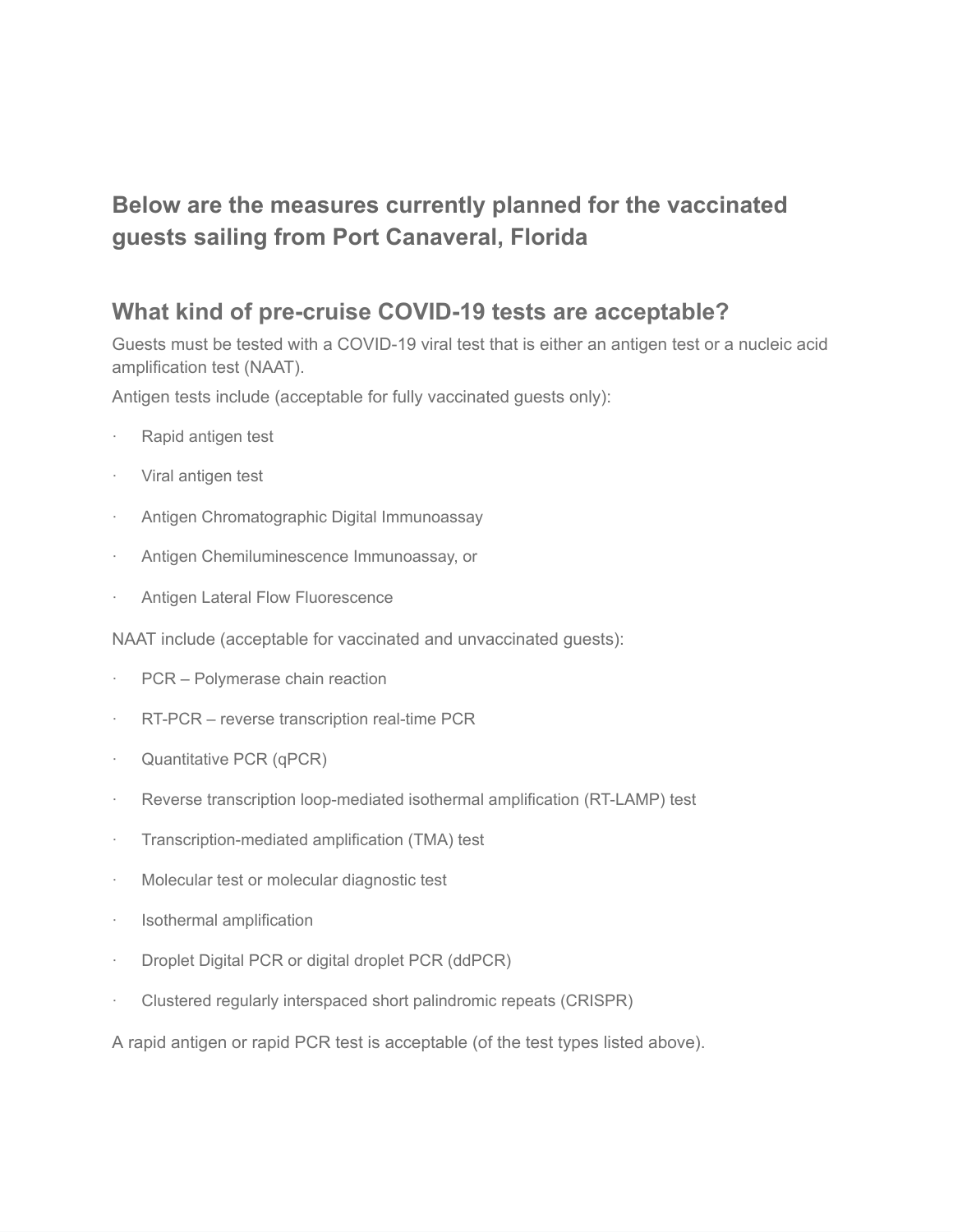## **Below are the measures currently planned for the [vaccinated](https://www.carnival.com/Legal/covid-19-legal-notices/covid-19-guest-protocols?icid=advisory_cruisehealth_072821#vaccinatedsailings) guests sailing from Port Canaveral, Florida**

## **What kind of pre-cruise COVID-19 tests are acceptable?**

Guests must be tested with a COVID-19 viral test that is either an antigen test or a nucleic acid amplification test (NAAT).

Antigen tests include (acceptable for fully vaccinated guests only):

- Rapid antigen test
- · Viral antigen test
- · Antigen Chromatographic Digital Immunoassay
- Antigen Chemiluminescence Immunoassay, or
- Antigen Lateral Flow Fluorescence

NAAT include (acceptable for vaccinated and unvaccinated guests):

- PCR Polymerase chain reaction
- · RT-PCR reverse transcription real-time PCR
- · Quantitative PCR (qPCR)
- · Reverse transcription loop-mediated isothermal amplification (RT-LAMP) test
- · Transcription-mediated amplification (TMA) test
- · Molecular test or molecular diagnostic test
- · Isothermal amplification
- · Droplet Digital PCR or digital droplet PCR (ddPCR)
- Clustered regularly interspaced short palindromic repeats (CRISPR)

A rapid antigen or rapid PCR test is acceptable (of the test types listed above).